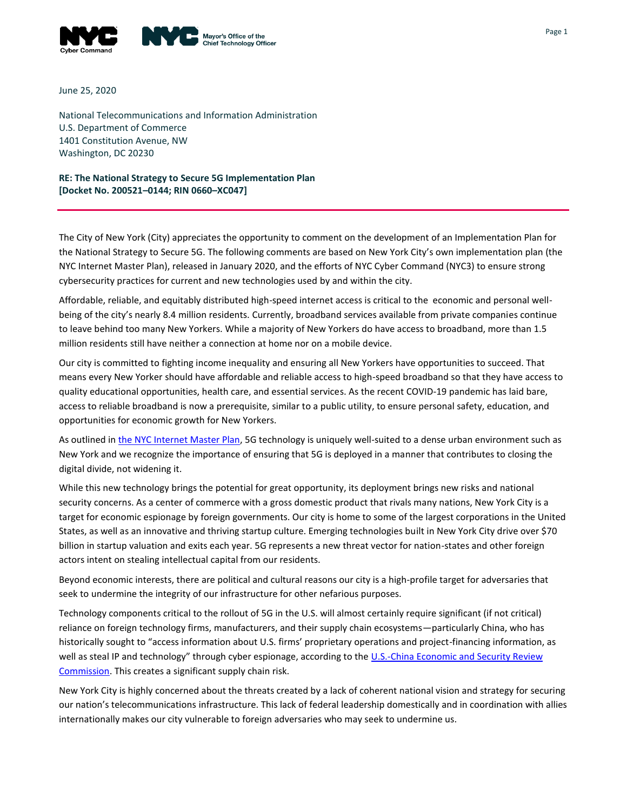

June 25, 2020

National Telecommunications and Information Administration U.S. Department of Commerce 1401 Constitution Avenue, NW Washington, DC 20230

**RE: The National Strategy to Secure 5G Implementation Plan [Docket No. 200521–0144; RIN 0660–XC047]**

The City of New York (City) appreciates the opportunity to comment on the development of an Implementation Plan for the National Strategy to Secure 5G. The following comments are based on New York City's own implementation plan (the NYC Internet Master Plan), released in January 2020, and the efforts of NYC Cyber Command (NYC3) to ensure strong cybersecurity practices for current and new technologies used by and within the city.

Affordable, reliable, and equitably distributed high-speed internet access is critical to the economic and personal wellbeing of the city's nearly 8.4 million residents. Currently, broadband services available from private companies continue to leave behind too many New Yorkers. While a majority of New Yorkers do have access to broadband, more than 1.5 million residents still have neither a connection at home nor on a mobile device.

Our city is committed to fighting income inequality and ensuring all New Yorkers have opportunities to succeed. That means every New Yorker should have affordable and reliable access to high-speed broadband so that they have access to quality educational opportunities, health care, and essential services. As the recent COVID-19 pandemic has laid bare, access to reliable broadband is now a prerequisite, similar to a public utility, to ensure personal safety, education, and opportunities for economic growth for New Yorkers.

As outlined i[n the NYC Internet Master Plan,](https://www1.nyc.gov/assets/cto/#/project/internet-master-plan) 5G technology is uniquely well-suited to a dense urban environment such as New York and we recognize the importance of ensuring that 5G is deployed in a manner that contributes to closing the digital divide, not widening it.

While this new technology brings the potential for great opportunity, its deployment brings new risks and national security concerns. As a center of commerce with a gross domestic product that rivals many nations, New York City is a target for economic espionage by foreign governments. Our city is home to some of the largest corporations in the United States, as well as an innovative and thriving startup culture. Emerging technologies built in New York City drive over \$70 billion in startup valuation and exits each year. 5G represents a new threat vector for nation-states and other foreign actors intent on stealing intellectual capital from our residents.

Beyond economic interests, there are political and cultural reasons our city is a high-profile target for adversaries that seek to undermine the integrity of our infrastructure for other nefarious purposes.

Technology components critical to the rollout of 5G in the U.S. will almost certainly require significant (if not critical) reliance on foreign technology firms, manufacturers, and their supply chain ecosystems—particularly China, who has historically sought to "access information about U.S. firms' proprietary operations and project-financing information, as well as steal IP and technology" through cyber espionage, according to the U.S.-China Economic and Security Review [Commission.](https://www.uscc.gov/sites/default/files/Research/How%20Chinese%20Companies%20Facilitate%20Tech%20Transfer%20from%20the%20US.pdf) This creates a significant supply chain risk.

New York City is highly concerned about the threats created by a lack of coherent national vision and strategy for securing our nation's telecommunications infrastructure. This lack of federal leadership domestically and in coordination with allies internationally makes our city vulnerable to foreign adversaries who may seek to undermine us.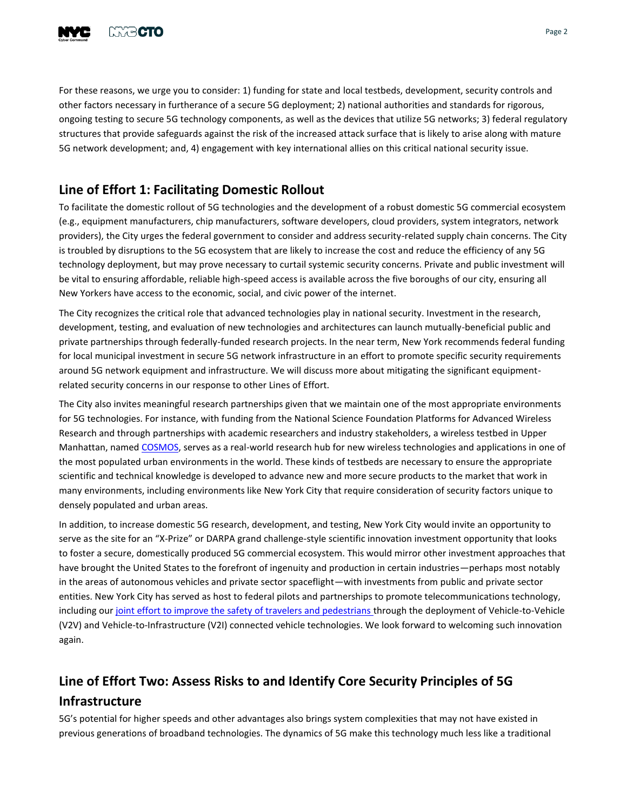

For these reasons, we urge you to consider: 1) funding for state and local testbeds, development, security controls and other factors necessary in furtherance of a secure 5G deployment; 2) national authorities and standards for rigorous, ongoing testing to secure 5G technology components, as well as the devices that utilize 5G networks; 3) federal regulatory structures that provide safeguards against the risk of the increased attack surface that is likely to arise along with mature 5G network development; and, 4) engagement with key international allies on this critical national security issue.

## **Line of Effort 1: Facilitating Domestic Rollout**

To facilitate the domestic rollout of 5G technologies and the development of a robust domestic 5G commercial ecosystem (e.g., equipment manufacturers, chip manufacturers, software developers, cloud providers, system integrators, network providers), the City urges the federal government to consider and address security-related supply chain concerns. The City is troubled by disruptions to the 5G ecosystem that are likely to increase the cost and reduce the efficiency of any 5G technology deployment, but may prove necessary to curtail systemic security concerns. Private and public investment will be vital to ensuring affordable, reliable high-speed access is available across the five boroughs of our city, ensuring all New Yorkers have access to the economic, social, and civic power of the internet.

The City recognizes the critical role that advanced technologies play in national security. Investment in the research, development, testing, and evaluation of new technologies and architectures can launch mutually-beneficial public and private partnerships through federally-funded research projects. In the near term, New York recommends federal funding for local municipal investment in secure 5G network infrastructure in an effort to promote specific security requirements around 5G network equipment and infrastructure. We will discuss more about mitigating the significant equipmentrelated security concerns in our response to other Lines of Effort.

The City also invites meaningful research partnerships given that we maintain one of the most appropriate environments for 5G technologies. For instance, with funding from the National Science Foundation Platforms for Advanced Wireless Research and through partnerships with academic researchers and industry stakeholders, a wireless testbed in Upper Manhattan, named [COSMOS,](https://cosmos-lab.org/) serves as a real-world research hub for new wireless technologies and applications in one of the most populated urban environments in the world. These kinds of testbeds are necessary to ensure the appropriate scientific and technical knowledge is developed to advance new and more secure products to the market that work in many environments, including environments like New York City that require consideration of security factors unique to densely populated and urban areas.

In addition, to increase domestic 5G research, development, and testing, New York City would invite an opportunity to serve as the site for an "X-Prize" or DARPA grand challenge-style scientific innovation investment opportunity that looks to foster a secure, domestically produced 5G commercial ecosystem. This would mirror other investment approaches that have brought the United States to the forefront of ingenuity and production in certain industries—perhaps most notably in the areas of autonomous vehicles and private sector spaceflight—with investments from public and private sector entities. New York City has served as host to federal pilots and partnerships to promote telecommunications technology, including our [joint effort to improve the safety of travelers and pedestrians t](https://www.its.dot.gov/pilots/pilots_nycdot.htm)hrough the deployment of Vehicle-to-Vehicle (V2V) and Vehicle-to-Infrastructure (V2I) connected vehicle technologies. We look forward to welcoming such innovation again.

## **Line of Effort Two: Assess Risks to and Identify Core Security Principles of 5G Infrastructure**

5G's potential for higher speeds and other advantages also brings system complexities that may not have existed in previous generations of broadband technologies. The dynamics of 5G make this technology much less like a traditional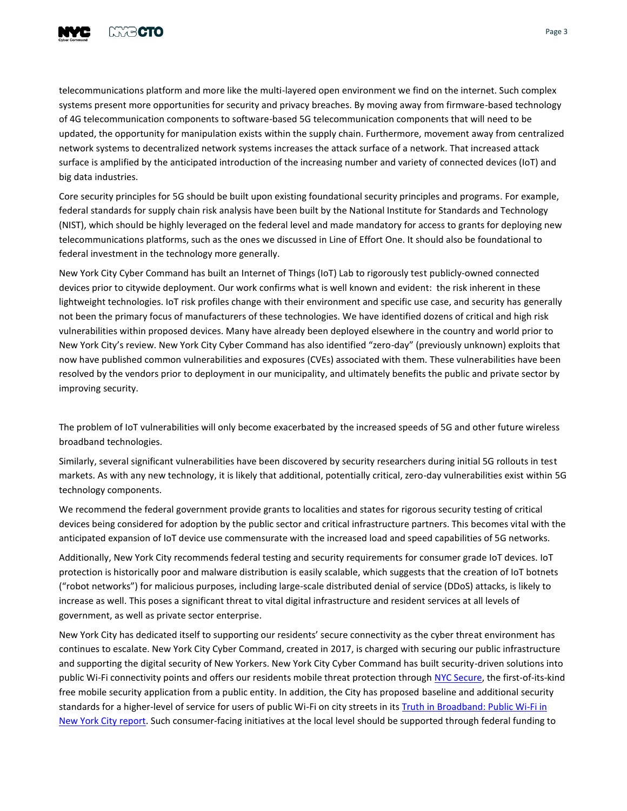

telecommunications platform and more like the multi-layered open environment we find on the internet. Such complex systems present more opportunities for security and privacy breaches. By moving away from firmware-based technology of 4G telecommunication components to software-based 5G telecommunication components that will need to be updated, the opportunity for manipulation exists within the supply chain. Furthermore, movement away from centralized network systems to decentralized network systems increases the attack surface of a network. That increased attack surface is amplified by the anticipated introduction of the increasing number and variety of connected devices (IoT) and big data industries.

Core security principles for 5G should be built upon existing foundational security principles and programs. For example, federal standards for supply chain risk analysis have been built by the National Institute for Standards and Technology (NIST), which should be highly leveraged on the federal level and made mandatory for access to grants for deploying new telecommunications platforms, such as the ones we discussed in Line of Effort One. It should also be foundational to federal investment in the technology more generally.

New York City Cyber Command has built an Internet of Things (IoT) Lab to rigorously test publicly-owned connected devices prior to citywide deployment. Our work confirms what is well known and evident: the risk inherent in these lightweight technologies. IoT risk profiles change with their environment and specific use case, and security has generally not been the primary focus of manufacturers of these technologies. We have identified dozens of critical and high risk vulnerabilities within proposed devices. Many have already been deployed elsewhere in the country and world prior to New York City's review. New York City Cyber Command has also identified "zero-day" (previously unknown) exploits that now have published common vulnerabilities and exposures (CVEs) associated with them. These vulnerabilities have been resolved by the vendors prior to deployment in our municipality, and ultimately benefits the public and private sector by improving security.

The problem of IoT vulnerabilities will only become exacerbated by the increased speeds of 5G and other future wireless broadband technologies.

Similarly, several significant vulnerabilities have been discovered by security researchers during initial 5G rollouts in test markets. As with any new technology, it is likely that additional, potentially critical, zero-day vulnerabilities exist within 5G technology components.

We recommend the federal government provide grants to localities and states for rigorous security testing of critical devices being considered for adoption by the public sector and critical infrastructure partners. This becomes vital with the anticipated expansion of IoT device use commensurate with the increased load and speed capabilities of 5G networks.

Additionally, New York City recommends federal testing and security requirements for consumer grade IoT devices. IoT protection is historically poor and malware distribution is easily scalable, which suggests that the creation of IoT botnets ("robot networks") for malicious purposes, including large-scale distributed denial of service (DDoS) attacks, is likely to increase as well. This poses a significant threat to vital digital infrastructure and resident services at all levels of government, as well as private sector enterprise.

New York City has dedicated itself to supporting our residents' secure connectivity as the cyber threat environment has continues to escalate. New York City Cyber Command, created in 2017, is charged with securing our public infrastructure and supporting the digital security of New Yorkers. New York City Cyber Command has built security-driven solutions into public Wi-Fi connectivity points and offers our residents mobile threat protection through [NYC Secure,](http://secure.nyc/) the first-of-its-kind free mobile security application from a public entity. In addition, the City has proposed baseline and additional security standards for a higher-level of service for users of public Wi-Fi on city streets in it[s Truth in Broadband: Public Wi-Fi in](https://www1.nyc.gov/assets/cto/#/project/truth-in-broadband)  [New York City](https://www1.nyc.gov/assets/cto/#/project/truth-in-broadband) report. Such consumer-facing initiatives at the local level should be supported through federal funding to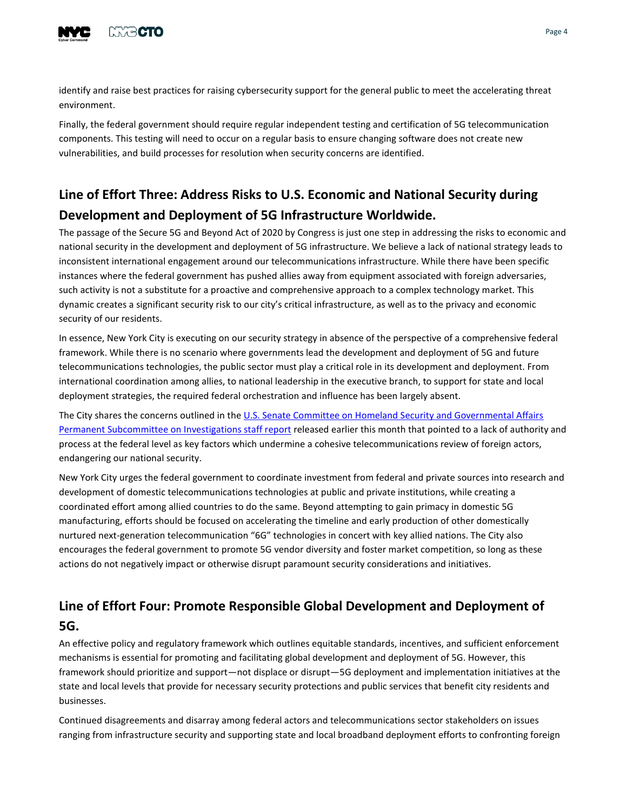

identify and raise best practices for raising cybersecurity support for the general public to meet the accelerating threat environment.

Finally, the federal government should require regular independent testing and certification of 5G telecommunication components. This testing will need to occur on a regular basis to ensure changing software does not create new vulnerabilities, and build processes for resolution when security concerns are identified.

## **Line of Effort Three: Address Risks to U.S. Economic and National Security during Development and Deployment of 5G Infrastructure Worldwide.**

The passage of the Secure 5G and Beyond Act of 2020 by Congress is just one step in addressing the risks to economic and national security in the development and deployment of 5G infrastructure. We believe a lack of national strategy leads to inconsistent international engagement around our telecommunications infrastructure. While there have been specific instances where the federal government has pushed allies away from equipment associated with foreign adversaries, such activity is not a substitute for a proactive and comprehensive approach to a complex technology market. This dynamic creates a significant security risk to our city's critical infrastructure, as well as to the privacy and economic security of our residents.

In essence, New York City is executing on our security strategy in absence of the perspective of a comprehensive federal framework. While there is no scenario where governments lead the development and deployment of 5G and future telecommunications technologies, the public sector must play a critical role in its development and deployment. From international coordination among allies, to national leadership in the executive branch, to support for state and local deployment strategies, the required federal orchestration and influence has been largely absent.

The City shares the concerns outlined in the U.S. Senate Committee on Homeland Security and Governmental Affairs [Permanent Subcommittee on Investigations staff report](https://www.hsgac.senate.gov/imo/media/doc/2020-06-09%20PSI%20Staff%20Report%20-%20Threats%20to%20U.S.%20Communications%20Networks.pdf) released earlier this month that pointed to a lack of authority and process at the federal level as key factors which undermine a cohesive telecommunications review of foreign actors, endangering our national security.

New York City urges the federal government to coordinate investment from federal and private sources into research and development of domestic telecommunications technologies at public and private institutions, while creating a coordinated effort among allied countries to do the same. Beyond attempting to gain primacy in domestic 5G manufacturing, efforts should be focused on accelerating the timeline and early production of other domestically nurtured next-generation telecommunication "6G" technologies in concert with key allied nations. The City also encourages the federal government to promote 5G vendor diversity and foster market competition, so long as these actions do not negatively impact or otherwise disrupt paramount security considerations and initiatives.

## **Line of Effort Four: Promote Responsible Global Development and Deployment of 5G.**

An effective policy and regulatory framework which outlines equitable standards, incentives, and sufficient enforcement mechanisms is essential for promoting and facilitating global development and deployment of 5G. However, this framework should prioritize and support—not displace or disrupt—5G deployment and implementation initiatives at the state and local levels that provide for necessary security protections and public services that benefit city residents and businesses.

Continued disagreements and disarray among federal actors and telecommunications sector stakeholders on issues ranging from infrastructure security and supporting state and local broadband deployment efforts to confronting foreign